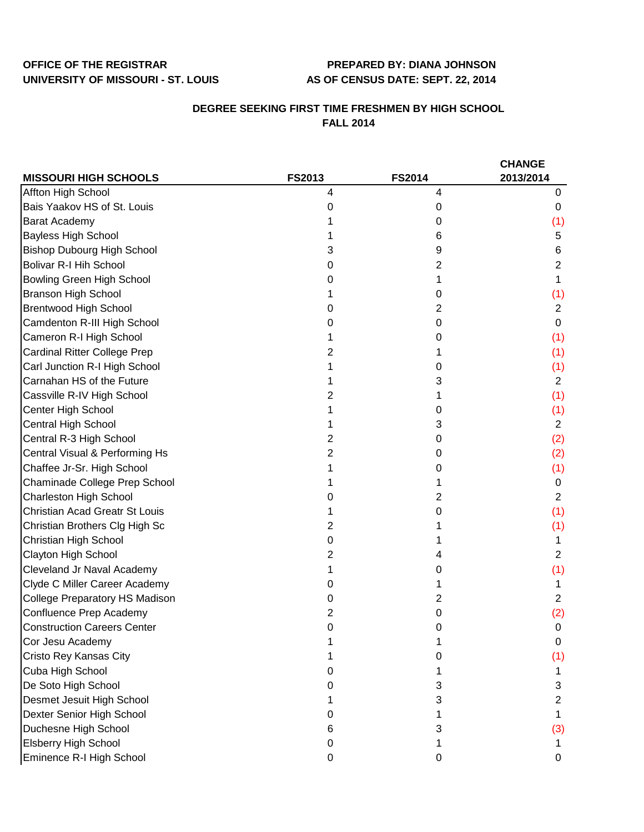## **OFFICE OF THE REGISTRAR PREPARED BY: DIANA JOHNSON UNIVERSITY OF MISSOURI - ST. LOUIS AS OF CENSUS DATE: SEPT. 22, 2014**

## **DEGREE SEEKING FIRST TIME FRESHMEN BY HIGH SCHOOL FALL 2014**

|                                       |        |               | <b>CHANGE</b>  |
|---------------------------------------|--------|---------------|----------------|
| <b>MISSOURI HIGH SCHOOLS</b>          | FS2013 | <b>FS2014</b> | 2013/2014      |
| Affton High School                    | 4      | 4             | 0              |
| Bais Yaakov HS of St. Louis           | 0      | 0             | 0              |
| Barat Academy                         |        | 0             | (1)            |
| <b>Bayless High School</b>            |        | 6             | 5              |
| <b>Bishop Dubourg High School</b>     | 3      | 9             | 6              |
| <b>Bolivar R-I Hih School</b>         | 0      | 2             | 2              |
| Bowling Green High School             | 0      |               |                |
| <b>Branson High School</b>            |        | 0             | (1)            |
| <b>Brentwood High School</b>          | 0      | 2             | $\overline{2}$ |
| Camdenton R-III High School           | 0      | 0             | 0              |
| Cameron R-I High School               |        | 0             | (1)            |
| <b>Cardinal Ritter College Prep</b>   | 2      |               | (1)            |
| Carl Junction R-I High School         |        | 0             | (1)            |
| Carnahan HS of the Future             |        | 3             | $\overline{2}$ |
| Cassville R-IV High School            | 2      | 1             | (1)            |
| Center High School                    |        | 0             | (1)            |
| Central High School                   |        | 3             | $\overline{2}$ |
| Central R-3 High School               | 2      | 0             | (2)            |
| Central Visual & Performing Hs        | 2      | 0             | (2)            |
| Chaffee Jr-Sr. High School            |        | 0             | (1)            |
| Chaminade College Prep School         |        |               | 0              |
| <b>Charleston High School</b>         | O      | 2             | $\overline{2}$ |
| <b>Christian Acad Greatr St Louis</b> |        | 0             | (1)            |
| Christian Brothers Clg High Sc        | 2      |               | (1)            |
| Christian High School                 | 0      |               | 1              |
| Clayton High School                   | 2      | 4             | $\overline{2}$ |
| Cleveland Jr Naval Academy            |        | 0             | (1)            |
| Clyde C Miller Career Academy         | O      |               |                |
| <b>College Preparatory HS Madison</b> | 0      | 2             | $\overline{2}$ |
| Confluence Prep Academy               | 2      | 0             | (2)            |
| <b>Construction Careers Center</b>    | 0      | 0             | 0              |
| Cor Jesu Academy                      |        |               | 0              |
| Cristo Rey Kansas City                |        | 0             | (1)            |
| Cuba High School                      | 0      |               | 1              |
| De Soto High School                   | 0      | 3             | 3              |
| Desmet Jesuit High School             |        | 3             | 2              |
| Dexter Senior High School             | O      |               |                |
| Duchesne High School                  | 6      | 3             | (3)            |
| <b>Elsberry High School</b>           | 0      |               |                |
| Eminence R-I High School              | 0      | 0             | 0              |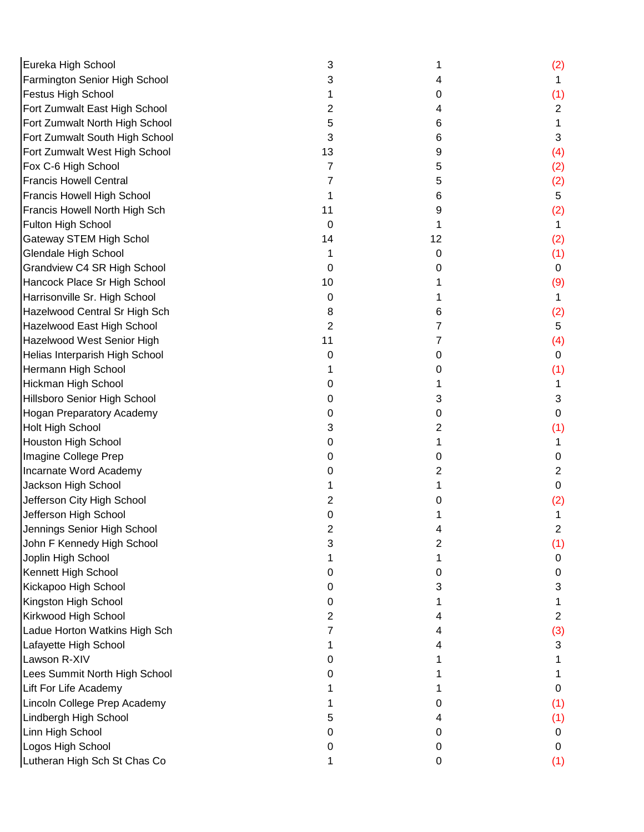| Eureka High School             | 3           |    | (2)            |
|--------------------------------|-------------|----|----------------|
| Farmington Senior High School  | 3           | 4  |                |
| Festus High School             |             | 0  | (1)            |
| Fort Zumwalt East High School  | 2           | 4  | $\overline{2}$ |
| Fort Zumwalt North High School | 5           | 6  | 1              |
| Fort Zumwalt South High School | 3           | 6  | 3              |
| Fort Zumwalt West High School  | 13          | 9  | (4)            |
| Fox C-6 High School            | 7           | 5  | (2)            |
| <b>Francis Howell Central</b>  |             | 5  | (2)            |
| Francis Howell High School     |             | 6  | $\sqrt{5}$     |
| Francis Howell North High Sch  | 11          | 9  | (2)            |
| Fulton High School             | $\mathbf 0$ | 1  | 1              |
| Gateway STEM High Schol        | 14          | 12 | (2)            |
| <b>Glendale High School</b>    | 1           | 0  | (1)            |
| Grandview C4 SR High School    | 0           | 0  | $\mathbf 0$    |
| Hancock Place Sr High School   | 10          |    | (9)            |
| Harrisonville Sr. High School  | 0           |    | 1              |
| Hazelwood Central Sr High Sch  | 8           | 6  | (2)            |
| Hazelwood East High School     | 2           | 7  | 5              |
| Hazelwood West Senior High     | 11          | 7  | (4)            |
| Helias Interparish High School | 0           | 0  | $\mathbf 0$    |
| Hermann High School            |             | 0  | (1)            |
| Hickman High School            | 0           |    | 1              |
| Hillsboro Senior High School   | 0           | 3  | 3              |
| Hogan Preparatory Academy      | 0           | 0  | 0              |
| Holt High School               | 3           | 2  | (1)            |
| Houston High School            | 0           |    |                |
| Imagine College Prep           | 0           | 0  | 0              |
| Incarnate Word Academy         | 0           | 2  | 2              |
| Jackson High School            |             |    | $\mathbf 0$    |
| Jefferson City High School     | 2           | O) | (2)            |
| Jefferson High School          | 0           |    |                |
| Jennings Senior High School    |             |    | 2              |
| John F Kennedy High School     | 3           | 2  | (1)            |
| Joplin High School             |             |    | 0              |
| Kennett High School            | 0           | 0  | 0              |
| Kickapoo High School           | 0           | 3  | 3              |
| Kingston High School           | Ω           |    |                |
| Kirkwood High School           | 2           | 4  | $\overline{2}$ |
| Ladue Horton Watkins High Sch  |             | 4  | (3)            |
| Lafayette High School          |             |    | 3              |
| Lawson R-XIV                   | Ω           |    |                |
| Lees Summit North High School  |             |    |                |
| Lift For Life Academy          |             |    | 0              |
| Lincoln College Prep Academy   |             | 0  | (1)            |
| Lindbergh High School          | 5           | 4  | (1)            |
| Linn High School               | 0           | 0  | 0              |
| Logos High School              | O           | 0  | 0              |
| Lutheran High Sch St Chas Co   |             | 0  | (1)            |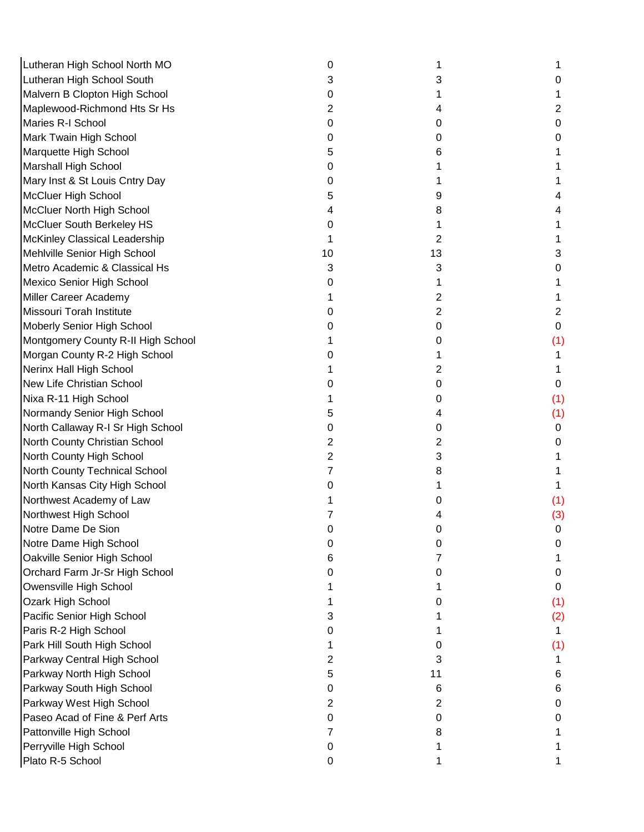| Lutheran High School North MO      | 0  |    |     |
|------------------------------------|----|----|-----|
| Lutheran High School South         | 3  | 3  |     |
| Malvern B Clopton High School      | 0  |    |     |
| Maplewood-Richmond Hts Sr Hs       | 2  | 4  | 2   |
| Maries R-I School                  | 0  | 0  | 0   |
| Mark Twain High School             | 0  | 0  | 0   |
| Marquette High School              | 5  | 6  |     |
| Marshall High School               | O  |    |     |
| Mary Inst & St Louis Cntry Day     | 0  |    |     |
| McCluer High School                | 5  | 9  |     |
| McCluer North High School          |    | 8  |     |
| McCluer South Berkeley HS          | Ω  |    |     |
| McKinley Classical Leadership      |    | 2  |     |
| Mehlville Senior High School       | 10 | 13 | 3   |
| Metro Academic & Classical Hs      | 3  | 3  | 0   |
| Mexico Senior High School          | 0  |    |     |
| Miller Career Academy              |    | 2  |     |
| Missouri Torah Institute           | Ω  | 2  | 2   |
| Moberly Senior High School         |    | 0  | 0   |
| Montgomery County R-II High School |    | 0  | (1) |
| Morgan County R-2 High School      |    |    |     |
| Nerinx Hall High School            |    | 2  |     |
| New Life Christian School          | O  | 0  | 0   |
| Nixa R-11 High School              |    | 0  | (1) |
| Normandy Senior High School        | 5  | 4  | (1) |
| North Callaway R-I Sr High School  | 0  | 0  | 0   |
| North County Christian School      | 2  | 2  | 0   |
| North County High School           | 2  | 3  |     |
| North County Technical School      |    | 8  |     |
| North Kansas City High School      | 0  |    |     |
| Northwest Academy of Law           |    | O  | (1) |
| Northwest High School              |    |    | (3) |
| Notre Dame De Sion                 | U  |    | 0   |
| Notre Dame High School             | Ω  | 0  | 0   |
| Oakville Senior High School        | 6  | 7  |     |
| Orchard Farm Jr-Sr High School     | 0  | 0  | 0   |
| Owensville High School             |    |    | 0   |
| Ozark High School                  |    | 0  | (1) |
| Pacific Senior High School         | 3  |    | (2) |
| Paris R-2 High School              | 0  |    | 1   |
| Park Hill South High School        |    | O  | (1) |
| Parkway Central High School        | 2  | 3  |     |
| Parkway North High School          | 5  | 11 | 6   |
| Parkway South High School          | Ω  | 6  | 6   |
| Parkway West High School           | 2  | 2  | 0   |
| Paseo Acad of Fine & Perf Arts     | O  | 0  | 0   |
| Pattonville High School            |    | 8  |     |
| Perryville High School             | 0  |    |     |
| Plato R-5 School                   | 0  |    |     |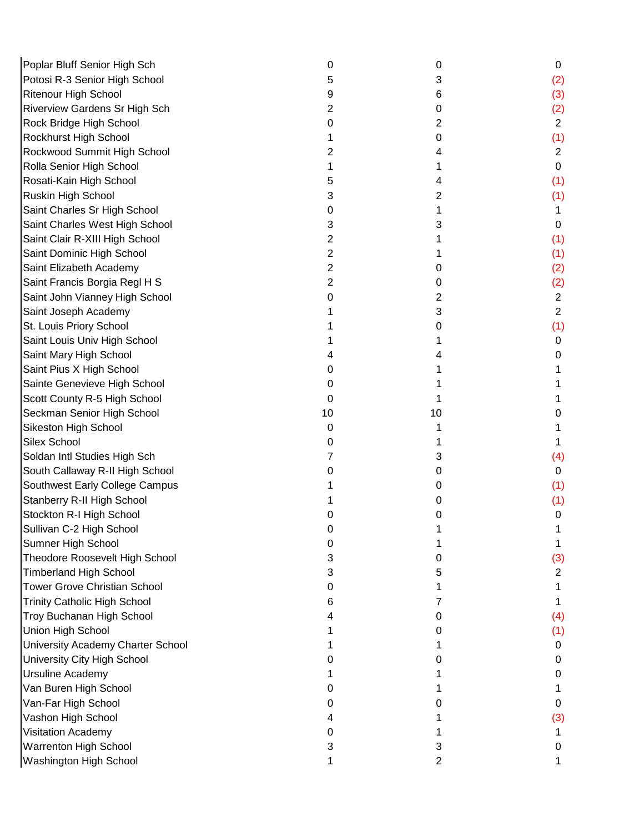| Poplar Bluff Senior High Sch        | 0  | 0  | 0              |
|-------------------------------------|----|----|----------------|
| Potosi R-3 Senior High School       | 5  | 3  | (2)            |
| <b>Ritenour High School</b>         | 9  | 6  | (3)            |
| Riverview Gardens Sr High Sch       | 2  | 0  | (2)            |
| Rock Bridge High School             | 0  | 2  | $\overline{2}$ |
| Rockhurst High School               |    | 0  | (1)            |
| Rockwood Summit High School         | 2  | 4  | $\overline{2}$ |
| Rolla Senior High School            |    |    | $\mathbf 0$    |
| Rosati-Kain High School             |    | 4  | (1)            |
| Ruskin High School                  | 3  | 2  | (1)            |
| Saint Charles Sr High School        | O  | 1  | 1.             |
| Saint Charles West High School      | 3  | 3  | 0              |
| Saint Clair R-XIII High School      | 2  |    | (1)            |
| Saint Dominic High School           | 2  |    | (1)            |
| Saint Elizabeth Academy             | 2  | 0  | (2)            |
| Saint Francis Borgia Regl H S       | 2  | 0  | (2)            |
| Saint John Vianney High School      | 0  | 2  | $\overline{2}$ |
| Saint Joseph Academy                |    | 3  | $\overline{2}$ |
| St. Louis Priory School             |    | 0  | (1)            |
| Saint Louis Univ High School        |    | 1  | 0              |
| Saint Mary High School              |    | 4  | 0              |
| Saint Pius X High School            | 0  |    |                |
| Sainte Genevieve High School        | 0  |    |                |
| Scott County R-5 High School        | 0  |    |                |
| Seckman Senior High School          | 10 | 10 | 0              |
| Sikeston High School                | 0  |    |                |
| <b>Silex School</b>                 | 0  |    |                |
| Soldan Intl Studies High Sch        |    | 3  | (4)            |
| South Callaway R-II High School     | O  | 0  | 0              |
| Southwest Early College Campus      |    | 0  | (1)            |
| Stanberry R-II High School          |    | O  | (1)            |
| Stockton R-I High School            |    | 0  | 0              |
| Sullivan C-2 High School            |    |    |                |
| Sumner High School                  | O  |    |                |
| Theodore Roosevelt High School      | 3  | Ω  | (3)            |
| <b>Timberland High School</b>       | 3  | 5  | $\overline{2}$ |
| <b>Tower Grove Christian School</b> | 0  |    |                |
| <b>Trinity Catholic High School</b> | 6  | 7  |                |
| Troy Buchanan High School           |    | 0  | (4)            |
| Union High School                   |    | O  | (1)            |
| University Academy Charter School   |    |    | 0              |
| University City High School         |    | Ω  | 0              |
| <b>Ursuline Academy</b>             |    |    | 0              |
| Van Buren High School               |    |    |                |
| Van-Far High School                 | 0  | 0  | 0              |
| Vashon High School                  |    |    | (3)            |
| Visitation Academy                  |    |    |                |
| Warrenton High School               | 3  | 3  | 0              |
| Washington High School              |    | 2  |                |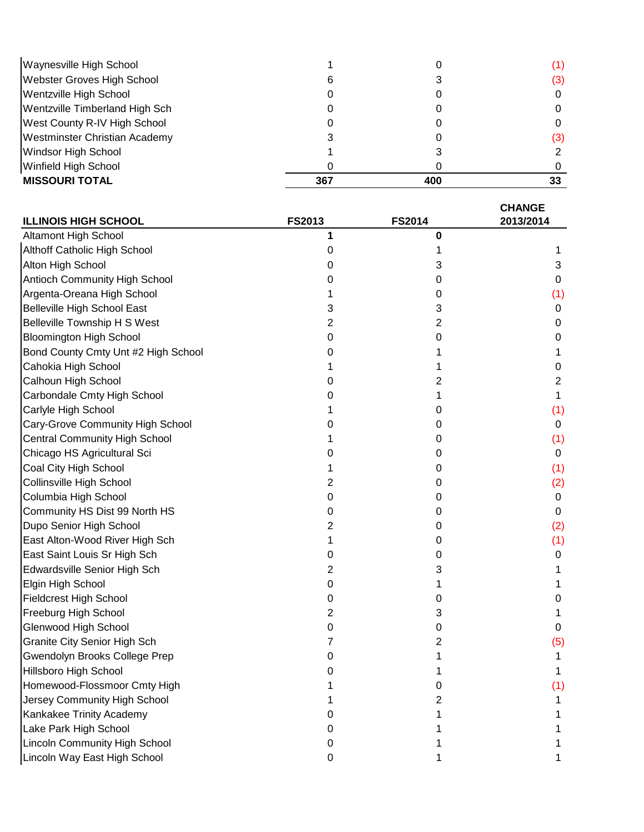| Waynesville High School        |     |     | (1) |
|--------------------------------|-----|-----|-----|
| Webster Groves High School     | 6   |     | (3) |
| Wentzville High School         |     |     |     |
| Wentzville Timberland High Sch |     |     |     |
| West County R-IV High School   |     |     |     |
| Westminster Christian Academy  |     |     | (3) |
| Windsor High School            |     |     |     |
| Winfield High School           |     |     |     |
| <b>MISSOURI TOTAL</b>          | 367 | 400 |     |

| <b>ILLINOIS HIGH SCHOOL</b>          | <b>FS2013</b> | <b>FS2014</b> | <b>CHANGE</b><br>2013/2014 |
|--------------------------------------|---------------|---------------|----------------------------|
| Altamont High School                 | 1             | 0             |                            |
| Althoff Catholic High School         | 0             |               |                            |
| Alton High School                    | Ω             | 3             | 3                          |
| <b>Antioch Community High School</b> | 0             | 0             | 0                          |
| Argenta-Oreana High School           |               | 0             | (1)                        |
| <b>Belleville High School East</b>   | 3             | 3             | 0                          |
| <b>Belleville Township H S West</b>  | 2             | 2             | 0                          |
| <b>Bloomington High School</b>       | 0             | 0             | 0                          |
| Bond County Cmty Unt #2 High School  | 0             | 1             |                            |
| Cahokia High School                  |               | 1             | 0                          |
| Calhoun High School                  | 0             | 2             | 2                          |
| Carbondale Cmty High School          | 0             | 1             |                            |
| Carlyle High School                  |               | 0             | (1)                        |
| Cary-Grove Community High School     | Ω             | 0             | 0                          |
| <b>Central Community High School</b> |               | 0             | (1)                        |
| Chicago HS Agricultural Sci          | 0             | 0             | 0                          |
| Coal City High School                |               | 0             | (1)                        |
| Collinsville High School             | 2             | 0             | (2)                        |
| Columbia High School                 | 0             | 0             | 0                          |
| Community HS Dist 99 North HS        | 0             | 0             | 0                          |
| Dupo Senior High School              | 2             | 0             | (2)                        |
| East Alton-Wood River High Sch       |               | 0             | (1)                        |
| East Saint Louis Sr High Sch         | 0             | 0             | 0                          |
| Edwardsville Senior High Sch         | 2             | 3             |                            |
| Elgin High School                    | 0             |               |                            |
| <b>Fieldcrest High School</b>        | 0             | 0             | O                          |
| Freeburg High School                 | 2             | 3             |                            |
| Glenwood High School                 | 0             | 0             | 0                          |
| <b>Granite City Senior High Sch</b>  |               | 2             | (5)                        |
| Gwendolyn Brooks College Prep        |               |               |                            |
| Hillsboro High School                |               |               |                            |
| Homewood-Flossmoor Cmty High         |               | 0             | (1)                        |
| Jersey Community High School         |               | 2             |                            |
| Kankakee Trinity Academy             |               |               |                            |
| Lake Park High School                |               |               |                            |
| <b>Lincoln Community High School</b> | O             |               |                            |
| Lincoln Way East High School         | 0             |               |                            |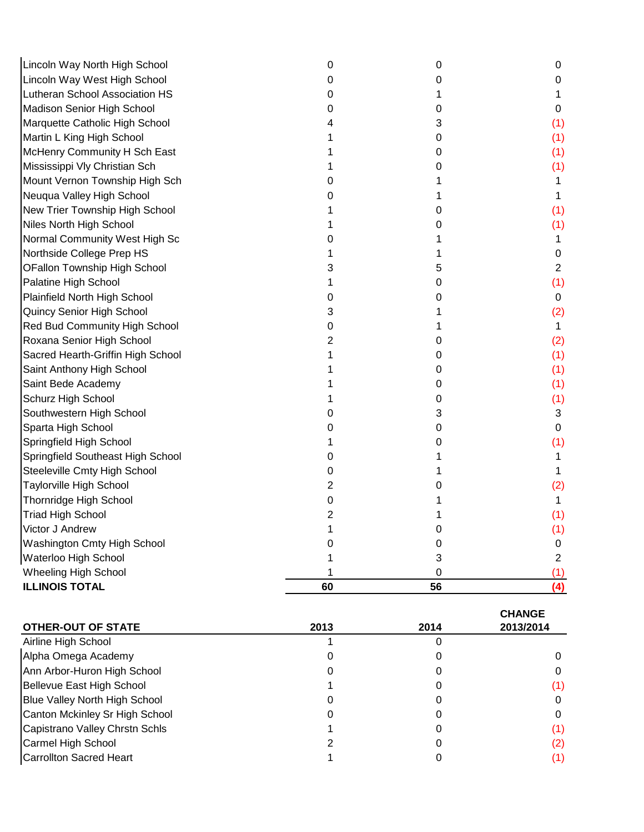| Lincoln Way North High School     | 0  | 0  | 0              |
|-----------------------------------|----|----|----------------|
| Lincoln Way West High School      | 0  | 0  | 0              |
| Lutheran School Association HS    | 0  | 1  | 1              |
| Madison Senior High School        | 0  | 0  | 0              |
| Marquette Catholic High School    | 4  | 3  | (1)            |
| Martin L King High School         |    | 0  | (1)            |
| McHenry Community H Sch East      |    | 0  | (1)            |
| Mississippi Vly Christian Sch     |    | 0  | (1)            |
| Mount Vernon Township High Sch    | 0  |    | 1              |
| Neuqua Valley High School         |    | 1  | 1              |
| New Trier Township High School    |    | 0  | (1)            |
| Niles North High School           |    | 0  | (1)            |
| Normal Community West High Sc     | 0  |    | 1              |
| Northside College Prep HS         |    |    | 0              |
| OFallon Township High School      | 3  | 5  | $\overline{2}$ |
| Palatine High School              |    | 0  | (1)            |
| Plainfield North High School      | 0  | 0  | 0              |
| Quincy Senior High School         | 3  |    | (2)            |
| Red Bud Community High School     | 0  | 1  | 1              |
| Roxana Senior High School         | 2  | 0  | (2)            |
| Sacred Hearth-Griffin High School |    | 0  | (1)            |
| Saint Anthony High School         |    | 0  | (1)            |
| Saint Bede Academy                |    | 0  | (1)            |
| Schurz High School                |    | 0  | (1)            |
| Southwestern High School          | 0  | 3  | 3              |
| Sparta High School                | 0  | 0  | 0              |
| Springfield High School           | 1  | 0  | (1)            |
| Springfield Southeast High School | 0  | 1  | 1              |
| Steeleville Cmty High School      | 0  |    | 1              |
| Taylorville High School           | 2  | 0  | (2)            |
| <b>Thornridge High School</b>     | 0  |    | $\mathbf 1$    |
| <b>Triad High School</b>          | 2  |    | (1)            |
| Victor J Andrew                   |    | 0  | (1)            |
| Washington Cmty High School       | 0  | 0  | 0              |
| Waterloo High School              |    | 3  | $\overline{2}$ |
| <b>Wheeling High School</b>       |    | 0  | (1)            |
| <b>ILLINOIS TOTAL</b>             | 60 | 56 | (4)            |

|                                      |      |      | <b>CHANGE</b> |
|--------------------------------------|------|------|---------------|
| <b>OTHER-OUT OF STATE</b>            | 2013 | 2014 | 2013/2014     |
| Airline High School                  |      |      |               |
| Alpha Omega Academy                  |      |      |               |
| Ann Arbor-Huron High School          |      |      |               |
| Bellevue East High School            |      |      | (1)           |
| <b>Blue Valley North High School</b> |      |      |               |
| Canton Mckinley Sr High School       |      |      |               |
| Capistrano Valley Chrstn Schls       |      |      | (1)           |
| Carmel High School                   |      |      | (2)           |
| Carrollton Sacred Heart              |      |      |               |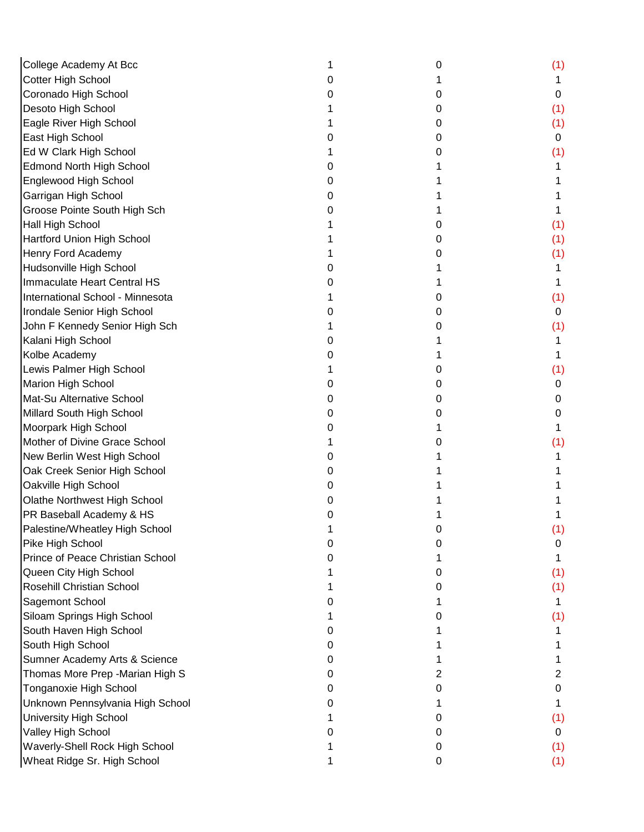| College Academy At Bcc            |   | 0 | (1) |
|-----------------------------------|---|---|-----|
| Cotter High School                |   |   |     |
| Coronado High School              |   | O | 0   |
| Desoto High School                |   | O | (1) |
| Eagle River High School           |   | O | (1) |
| East High School                  |   | 0 | 0   |
| Ed W Clark High School            |   | O | (1) |
| <b>Edmond North High School</b>   |   |   |     |
| Englewood High School             |   |   |     |
| Garrigan High School              |   |   |     |
| Groose Pointe South High Sch      |   |   |     |
| <b>Hall High School</b>           |   | Ω | (1) |
| <b>Hartford Union High School</b> |   | 0 | (1) |
| Henry Ford Academy                |   | O | (1) |
| Hudsonville High School           |   |   |     |
| Immaculate Heart Central HS       |   |   |     |
| International School - Minnesota  |   | O | (1) |
| Irondale Senior High School       |   | O | 0   |
| John F Kennedy Senior High Sch    |   | Ω | (1) |
| Kalani High School                |   |   |     |
| Kolbe Academy                     |   |   |     |
| Lewis Palmer High School          |   | 0 | (1) |
| Marion High School                |   | 0 | 0   |
| Mat-Su Alternative School         |   | 0 | 0   |
| Millard South High School         |   | Ω | 0   |
| Moorpark High School              |   |   |     |
| Mother of Divine Grace School     |   |   | (1) |
| New Berlin West High School       |   |   |     |
| Oak Creek Senior High School      |   |   |     |
| Oakville High School              |   |   |     |
| Olathe Northwest High School      |   |   |     |
| PR Baseball Academy & HS          |   |   |     |
| Palestine/Wheatley High School    |   |   | (1) |
| Pike High School                  |   | O | 0   |
| Prince of Peace Christian School  |   |   |     |
| Queen City High School            |   | 0 | (1) |
| Rosehill Christian School         |   | O | (1) |
| Sagemont School                   |   |   |     |
| Siloam Springs High School        |   | O | (1) |
| South Haven High School           |   |   |     |
| South High School                 |   |   |     |
| Sumner Academy Arts & Science     | O |   |     |
| Thomas More Prep - Marian High S  | 0 | 2 | 2   |
| Tonganoxie High School            | 0 | 0 | 0   |
| Unknown Pennsylvania High School  | 0 |   |     |
| <b>University High School</b>     |   | O | (1) |
| Valley High School                |   | O | 0   |
| Waverly-Shell Rock High School    |   | 0 | (1) |
| Wheat Ridge Sr. High School       |   | 0 | (1) |